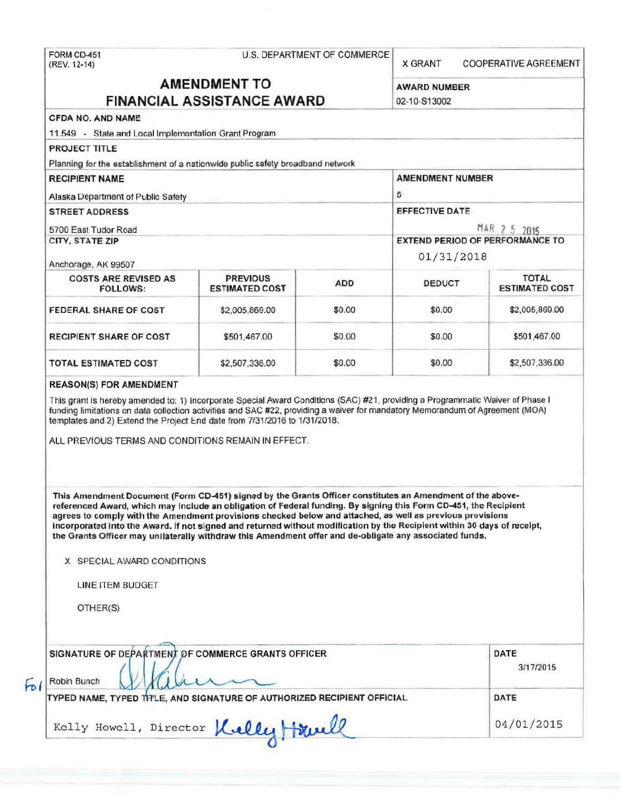# FORM CD-451 U.S. DEPARTMENT OF COMMERCE (REV. 12-14)

**X GRANT COOPERATIVE AGREEMENT** 

## **AMENDMENT TO** AWARD NUMBER **FINANCIAL ASSISTANCE AWARD** 02-10-513002

| PROJECT TITLE                                                                                                                                                                                                                                                                                                                                                                                                                                                                                                                                                                         |                                          |            |                                            |                                       |  |                     |  |  |            |                                        |  |  |
|---------------------------------------------------------------------------------------------------------------------------------------------------------------------------------------------------------------------------------------------------------------------------------------------------------------------------------------------------------------------------------------------------------------------------------------------------------------------------------------------------------------------------------------------------------------------------------------|------------------------------------------|------------|--------------------------------------------|---------------------------------------|--|---------------------|--|--|------------|----------------------------------------|--|--|
| Planning for the establishment of a nationwide public safety broadband network                                                                                                                                                                                                                                                                                                                                                                                                                                                                                                        |                                          |            |                                            |                                       |  |                     |  |  |            |                                        |  |  |
| <b>RECIPIENT NAME</b>                                                                                                                                                                                                                                                                                                                                                                                                                                                                                                                                                                 |                                          |            | <b>AMENDMENT NUMBER</b>                    |                                       |  |                     |  |  |            |                                        |  |  |
| Alaska Department of Public Safety<br><b>STREET ADDRESS</b><br>5700 East Tudor Road                                                                                                                                                                                                                                                                                                                                                                                                                                                                                                   |                                          |            | 5<br><b>EFFECTIVE DATE</b><br>MAR 2 5 2015 |                                       |  |                     |  |  |            |                                        |  |  |
|                                                                                                                                                                                                                                                                                                                                                                                                                                                                                                                                                                                       |                                          |            |                                            |                                       |  | CITY, STATE ZIP     |  |  |            | <b>EXTEND PERIOD OF PERFORMANCE TO</b> |  |  |
|                                                                                                                                                                                                                                                                                                                                                                                                                                                                                                                                                                                       |                                          |            |                                            |                                       |  | Anchorage, AK 99507 |  |  | 01/31/2018 |                                        |  |  |
| <b>COSTS ARE REVISED AS</b><br><b>FOLLOWS:</b>                                                                                                                                                                                                                                                                                                                                                                                                                                                                                                                                        | <b>PREVIOUS</b><br><b>ESTIMATED COST</b> | <b>ADD</b> | <b>DEDUCT</b>                              | <b>TOTAL</b><br><b>ESTIMATED COST</b> |  |                     |  |  |            |                                        |  |  |
| <b>FEDERAL SHARE OF COST</b>                                                                                                                                                                                                                                                                                                                                                                                                                                                                                                                                                          | \$2,005,869.00                           | \$0.00     | \$0.00                                     | \$2,005,869.00                        |  |                     |  |  |            |                                        |  |  |
| <b>RECIPIENT SHARE OF COST</b>                                                                                                                                                                                                                                                                                                                                                                                                                                                                                                                                                        | \$501,467.00                             | \$0.00     | \$0.00                                     | \$501,467.00                          |  |                     |  |  |            |                                        |  |  |
| <b>TOTAL ESTIMATED COST</b>                                                                                                                                                                                                                                                                                                                                                                                                                                                                                                                                                           | \$2,507,336.00                           | \$0.00     | \$0.00                                     | \$2,507,336.00                        |  |                     |  |  |            |                                        |  |  |
|                                                                                                                                                                                                                                                                                                                                                                                                                                                                                                                                                                                       |                                          |            |                                            |                                       |  |                     |  |  |            |                                        |  |  |
| This Amendment Document (Form CD-451) signed by the Grants Officer constitutes an Amendment of the above-<br>referenced Award, which may include an obligation of Federal funding. By signing this Form CD-451, the Recipient<br>agrees to comply with the Amendment provisions checked below and attached, as well as previous provisions<br>incorporated into the Award. If not signed and returned without modification by the Recipient within 30 days of receipt,                                                                                                                |                                          |            |                                            |                                       |  |                     |  |  |            |                                        |  |  |
| the Grants Officer may unilaterally withdraw this Amendment offer and de-obligate any associated funds.<br>X SPECIAL AWARD CONDITIONS                                                                                                                                                                                                                                                                                                                                                                                                                                                 |                                          |            |                                            |                                       |  |                     |  |  |            |                                        |  |  |
|                                                                                                                                                                                                                                                                                                                                                                                                                                                                                                                                                                                       |                                          |            |                                            |                                       |  |                     |  |  |            |                                        |  |  |
| LINE ITEM BUDGET                                                                                                                                                                                                                                                                                                                                                                                                                                                                                                                                                                      |                                          |            |                                            |                                       |  |                     |  |  |            |                                        |  |  |
| OTHER(S)                                                                                                                                                                                                                                                                                                                                                                                                                                                                                                                                                                              |                                          |            |                                            |                                       |  |                     |  |  |            |                                        |  |  |
|                                                                                                                                                                                                                                                                                                                                                                                                                                                                                                                                                                                       |                                          |            |                                            | DATE                                  |  |                     |  |  |            |                                        |  |  |
|                                                                                                                                                                                                                                                                                                                                                                                                                                                                                                                                                                                       |                                          |            |                                            | 3/17/2015                             |  |                     |  |  |            |                                        |  |  |
| <b>REASON(S) FOR AMENDMENT</b><br>This grant is hereby amended to: 1) Incorporate Special Award Conditions (SAC) #21, providing a Programmatic Waiver of Phase I<br>funding limitations on data collection activities and SAC #22, providing a waiver for mandatory Memorandum of Agreement (MOA)<br>templates and 2) Extend the Project End date from 7/31/2016 to 1/31/2018.<br>ALL PREVIOUS TERMS AND CONDITIONS REMAIN IN EFFECT.<br>SIGNATURE OF DEPARTMENT OF COMMERCE GRANTS OFFICER<br>Robin Bunch<br>TYPED NAME, TYPED TH'LE, AND SIGNATURE OF AUTHORIZED RECIPIENT OFFICIAL |                                          |            |                                            | DATE                                  |  |                     |  |  |            |                                        |  |  |